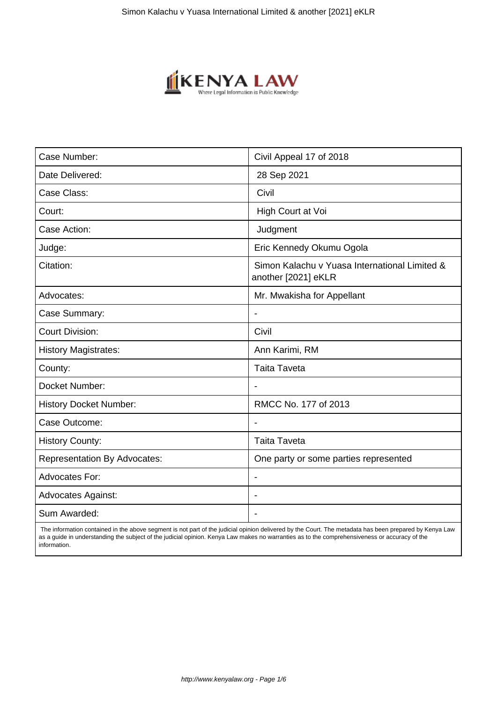

| Case Number:                        | Civil Appeal 17 of 2018                                              |
|-------------------------------------|----------------------------------------------------------------------|
| Date Delivered:                     | 28 Sep 2021                                                          |
| Case Class:                         | Civil                                                                |
| Court:                              | High Court at Voi                                                    |
| Case Action:                        | Judgment                                                             |
| Judge:                              | Eric Kennedy Okumu Ogola                                             |
| Citation:                           | Simon Kalachu v Yuasa International Limited &<br>another [2021] eKLR |
| Advocates:                          | Mr. Mwakisha for Appellant                                           |
| Case Summary:                       |                                                                      |
| <b>Court Division:</b>              | Civil                                                                |
| <b>History Magistrates:</b>         | Ann Karimi, RM                                                       |
| County:                             | <b>Taita Taveta</b>                                                  |
| Docket Number:                      |                                                                      |
| <b>History Docket Number:</b>       | RMCC No. 177 of 2013                                                 |
| Case Outcome:                       |                                                                      |
| <b>History County:</b>              | <b>Taita Taveta</b>                                                  |
| <b>Representation By Advocates:</b> | One party or some parties represented                                |
| <b>Advocates For:</b>               | $\blacksquare$                                                       |
| <b>Advocates Against:</b>           | $\blacksquare$                                                       |
| Sum Awarded:                        |                                                                      |

 The information contained in the above segment is not part of the judicial opinion delivered by the Court. The metadata has been prepared by Kenya Law as a guide in understanding the subject of the judicial opinion. Kenya Law makes no warranties as to the comprehensiveness or accuracy of the information.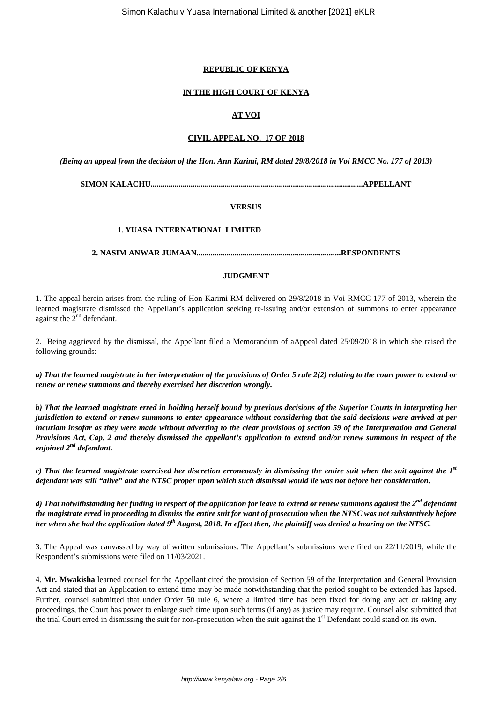## **REPUBLIC OF KENYA**

### **IN THE HIGH COURT OF KENYA**

# **AT VOI**

#### **CIVIL APPEAL NO. 17 OF 2018**

*(Being an appeal from the decision of the Hon. Ann Karimi, RM dated 29/8/2018 in Voi RMCC No. 177 of 2013)*

**SIMON KALACHU..........................................................................................................APPELLANT**

### **VERSUS**

#### **1. YUASA INTERNATIONAL LIMITED**

**2. NASIM ANWAR JUMAAN........................................................................RESPONDENTS**

#### **JUDGMENT**

1. The appeal herein arises from the ruling of Hon Karimi RM delivered on 29/8/2018 in Voi RMCC 177 of 2013, wherein the learned magistrate dismissed the Appellant's application seeking re-issuing and/or extension of summons to enter appearance against the  $2<sup>nd</sup>$  defendant.

2. Being aggrieved by the dismissal, the Appellant filed a Memorandum of aAppeal dated 25/09/2018 in which she raised the following grounds:

*a) That the learned magistrate in her interpretation of the provisions of Order 5 rule 2(2) relating to the court power to extend or renew or renew summons and thereby exercised her discretion wrongly.*

*b) That the learned magistrate erred in holding herself bound by previous decisions of the Superior Courts in interpreting her jurisdiction to extend or renew summons to enter appearance without considering that the said decisions were arrived at per incuriam insofar as they were made without adverting to the clear provisions of section 59 of the Interpretation and General Provisions Act, Cap. 2 and thereby dismissed the appellant's application to extend and/or renew summons in respect of the enjoined 2nd defendant.*

*c) That the learned magistrate exercised her discretion erroneously in dismissing the entire suit when the suit against the 1st defendant was still "alive" and the NTSC proper upon which such dismissal would lie was not before her consideration.*

*d) That notwithstanding her finding in respect of the application for leave to extend or renew summons against the 2nd defendant the magistrate erred in proceeding to dismiss the entire suit for want of prosecution when the NTSC was not substantively before her when she had the application dated 9th August, 2018. In effect then, the plaintiff was denied a hearing on the NTSC.*

3. The Appeal was canvassed by way of written submissions. The Appellant's submissions were filed on 22/11/2019, while the Respondent's submissions were filed on 11/03/2021.

4. **Mr. Mwakisha** learned counsel for the Appellant cited the provision of Section 59 of the Interpretation and General Provision Act and stated that an Application to extend time may be made notwithstanding that the period sought to be extended has lapsed. Further, counsel submitted that under Order 50 rule 6, where a limited time has been fixed for doing any act or taking any proceedings, the Court has power to enlarge such time upon such terms (if any) as justice may require. Counsel also submitted that the trial Court erred in dismissing the suit for non-prosecution when the suit against the 1<sup>st</sup> Defendant could stand on its own.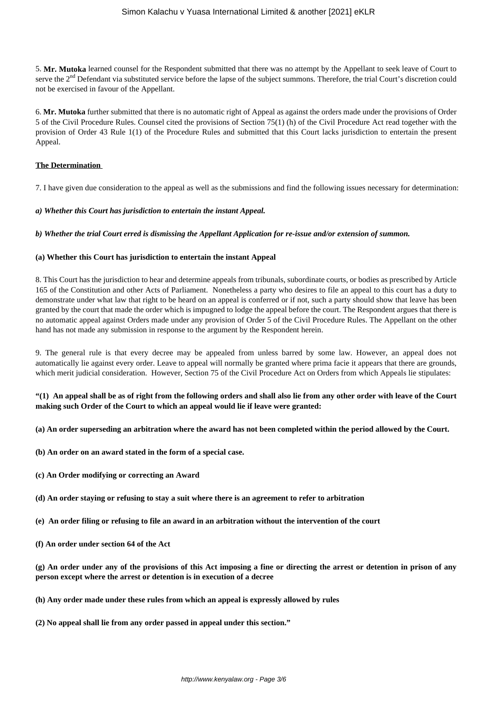5. **Mr. Mutoka** learned counsel for the Respondent submitted that there was no attempt by the Appellant to seek leave of Court to serve the 2<sup>nd</sup> Defendant via substituted service before the lapse of the subject summons. Therefore, the trial Court's discretion could not be exercised in favour of the Appellant.

6. **Mr. Mutoka** further submitted that there is no automatic right of Appeal as against the orders made under the provisions of Order 5 of the Civil Procedure Rules. Counsel cited the provisions of Section 75(1) (h) of the Civil Procedure Act read together with the provision of Order 43 Rule 1(1) of the Procedure Rules and submitted that this Court lacks jurisdiction to entertain the present Appeal.

### **The Determination**

7. I have given due consideration to the appeal as well as the submissions and find the following issues necessary for determination:

### *a) Whether this Court has jurisdiction to entertain the instant Appeal.*

*b) Whether the trial Court erred is dismissing the Appellant Application for re-issue and/or extension of summon.*

### **(a) Whether this Court has jurisdiction to entertain the instant Appeal**

8. This Court has the jurisdiction to hear and determine appeals from tribunals, subordinate courts, or bodies as prescribed by Article 165 of the Constitution and other Acts of Parliament. Nonetheless a party who desires to file an appeal to this court has a duty to demonstrate under what law that right to be heard on an appeal is conferred or if not, such a party should show that leave has been granted by the court that made the order which is impugned to lodge the appeal before the court. The Respondent argues that there is no automatic appeal against Orders made under any provision of Order 5 of the Civil Procedure Rules. The Appellant on the other hand has not made any submission in response to the argument by the Respondent herein.

9. The general rule is that every decree may be appealed from unless barred by some law. However, an appeal does not automatically lie against every order. Leave to appeal will normally be granted where prima facie it appears that there are grounds, which merit judicial consideration. However, Section 75 of the Civil Procedure Act on Orders from which Appeals lie stipulates:

# **"(1) An appeal shall be as of right from the following orders and shall also lie from any other order with leave of the Court making such Order of the Court to which an appeal would lie if leave were granted:**

#### **(a) An order superseding an arbitration where the award has not been completed within the period allowed by the Court.**

- **(b) An order on an award stated in the form of a special case.**
- **(c) An Order modifying or correcting an Award**
- **(d) An order staying or refusing to stay a suit where there is an agreement to refer to arbitration**
- **(e) An order filing or refusing to file an award in an arbitration without the intervention of the court**
- **(f) An order under section 64 of the Act**

**(g) An order under any of the provisions of this Act imposing a fine or directing the arrest or detention in prison of any person except where the arrest or detention is in execution of a decree**

- **(h) Any order made under these rules from which an appeal is expressly allowed by rules**
- **(2) No appeal shall lie from any order passed in appeal under this section."**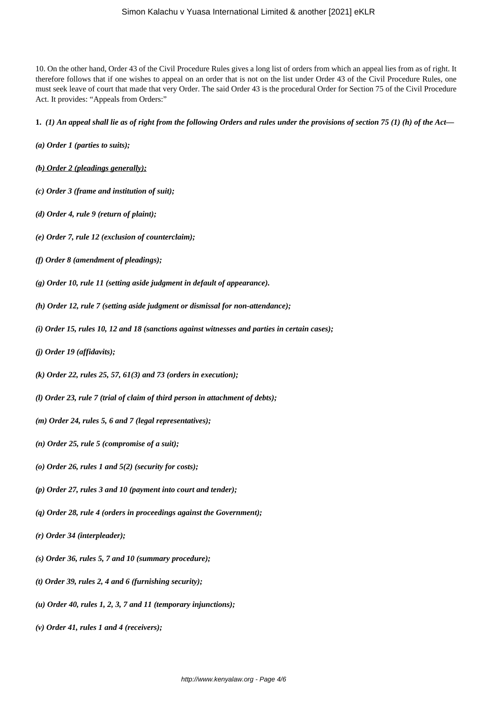10. On the other hand, Order 43 of the Civil Procedure Rules gives a long list of orders from which an appeal lies from as of right. It therefore follows that if one wishes to appeal on an order that is not on the list under Order 43 of the Civil Procedure Rules, one must seek leave of court that made that very Order. The said Order 43 is the procedural Order for Section 75 of the Civil Procedure Act. It provides: "Appeals from Orders:"

#### **1.** *(1) An appeal shall lie as of right from the following Orders and rules under the provisions of section 75 (1) (h) of the Act—*

- *(a) Order 1 (parties to suits);*
- *(b) Order 2 (pleadings generally);*
- *(c) Order 3 (frame and institution of suit);*
- *(d) Order 4, rule 9 (return of plaint);*
- *(e) Order 7, rule 12 (exclusion of counterclaim);*
- *(f) Order 8 (amendment of pleadings);*
- *(g) Order 10, rule 11 (setting aside judgment in default of appearance).*
- *(h) Order 12, rule 7 (setting aside judgment or dismissal for non-attendance);*
- *(i) Order 15, rules 10, 12 and 18 (sanctions against witnesses and parties in certain cases);*
- *(j) Order 19 (affidavits);*
- *(k) Order 22, rules 25, 57, 61(3) and 73 (orders in execution);*
- *(l) Order 23, rule 7 (trial of claim of third person in attachment of debts);*
- *(m) Order 24, rules 5, 6 and 7 (legal representatives);*
- *(n) Order 25, rule 5 (compromise of a suit);*
- *(o) Order 26, rules 1 and 5(2) (security for costs);*
- *(p) Order 27, rules 3 and 10 (payment into court and tender);*
- *(q) Order 28, rule 4 (orders in proceedings against the Government);*
- *(r) Order 34 (interpleader);*
- *(s) Order 36, rules 5, 7 and 10 (summary procedure);*
- *(t) Order 39, rules 2, 4 and 6 (furnishing security);*
- *(u) Order 40, rules 1, 2, 3, 7 and 11 (temporary injunctions);*
- *(v) Order 41, rules 1 and 4 (receivers);*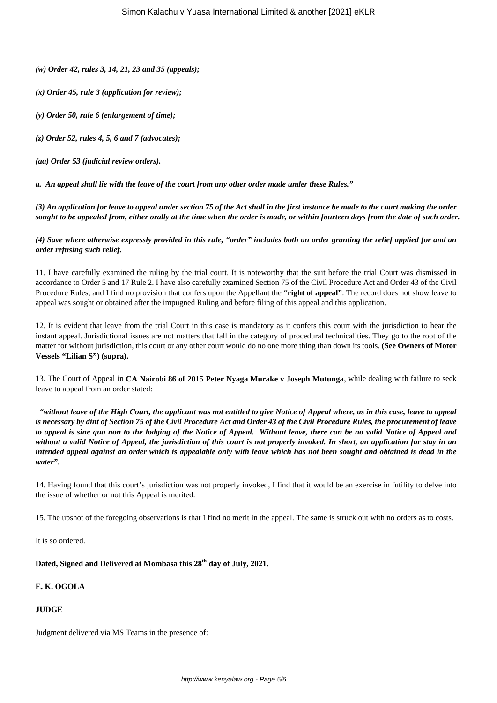*(w) Order 42, rules 3, 14, 21, 23 and 35 (appeals);*

- *(x) Order 45, rule 3 (application for review);*
- *(y) Order 50, rule 6 (enlargement of time);*
- *(z) Order 52, rules 4, 5, 6 and 7 (advocates);*

*(aa) Order 53 (judicial review orders).*

*a. An appeal shall lie with the leave of the court from any other order made under these Rules."*

*(3) An application for leave to appeal under section 75 of the Act shall in the first instance be made to the court making the order sought to be appealed from, either orally at the time when the order is made, or within fourteen days from the date of such order.*

*(4) Save where otherwise expressly provided in this rule, "order" includes both an order granting the relief applied for and an order refusing such relief.*

11. I have carefully examined the ruling by the trial court. It is noteworthy that the suit before the trial Court was dismissed in accordance to Order 5 and 17 Rule 2. I have also carefully examined Section 75 of the Civil Procedure Act and Order 43 of the Civil Procedure Rules, and I find no provision that confers upon the Appellant the **"right of appeal"**. The record does not show leave to appeal was sought or obtained after the impugned Ruling and before filing of this appeal and this application.

12. It is evident that leave from the trial Court in this case is mandatory as it confers this court with the jurisdiction to hear the instant appeal. Jurisdictional issues are not matters that fall in the category of procedural technicalities. They go to the root of the matter for without jurisdiction, this court or any other court would do no one more thing than down its tools. **(See Owners of Motor Vessels "Lilian S") (supra).**

13. The Court of Appeal in **CA Nairobi 86 of 2015 Peter Nyaga Murake v Joseph Mutunga,** while dealing with failure to seek leave to appeal from an order stated:

*"without leave of the High Court, the applicant was not entitled to give Notice of Appeal where, as in this case, leave to appeal is necessary by dint of Section 75 of the Civil Procedure Act and Order 43 of the Civil Procedure Rules, the procurement of leave to appeal is sine qua non to the lodging of the Notice of Appeal. Without leave, there can be no valid Notice of Appeal and without a valid Notice of Appeal, the jurisdiction of this court is not properly invoked. In short, an application for stay in an intended appeal against an order which is appealable only with leave which has not been sought and obtained is dead in the water".*

14. Having found that this court's jurisdiction was not properly invoked, I find that it would be an exercise in futility to delve into the issue of whether or not this Appeal is merited.

15. The upshot of the foregoing observations is that I find no merit in the appeal. The same is struck out with no orders as to costs.

It is so ordered.

**Dated, Signed and Delivered at Mombasa this 28th day of July, 2021.** 

# **E. K. OGOLA**

# **JUDGE**

Judgment delivered via MS Teams in the presence of: